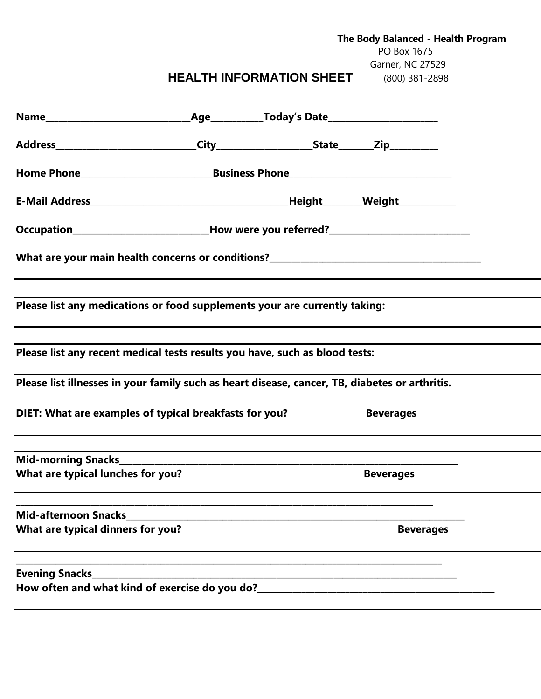|                                                                                                |                                                                                         |                                         | PO Box 1675      | The Body Balanced - Health Program |  |
|------------------------------------------------------------------------------------------------|-----------------------------------------------------------------------------------------|-----------------------------------------|------------------|------------------------------------|--|
|                                                                                                |                                                                                         |                                         | Garner, NC 27529 |                                    |  |
|                                                                                                |                                                                                         | HEALTH INFORMATION SHEET (800) 381-2898 |                  |                                    |  |
|                                                                                                |                                                                                         |                                         |                  |                                    |  |
|                                                                                                |                                                                                         |                                         |                  |                                    |  |
|                                                                                                |                                                                                         |                                         |                  |                                    |  |
|                                                                                                |                                                                                         |                                         |                  |                                    |  |
|                                                                                                | Occupation_______________________________How were you referred?________________________ |                                         |                  |                                    |  |
|                                                                                                |                                                                                         |                                         |                  |                                    |  |
| Please list any medications or food supplements your are currently taking:                     |                                                                                         |                                         |                  |                                    |  |
| Please list any recent medical tests results you have, such as blood tests:                    |                                                                                         |                                         |                  |                                    |  |
| Please list illnesses in your family such as heart disease, cancer, TB, diabetes or arthritis. |                                                                                         |                                         |                  |                                    |  |
| DIET: What are examples of typical breakfasts for you?                                         |                                                                                         |                                         | <b>Beverages</b> |                                    |  |
| <b>Mid-morning Snacks</b>                                                                      |                                                                                         |                                         |                  |                                    |  |
| What are typical lunches for you?                                                              |                                                                                         |                                         | <b>Beverages</b> |                                    |  |
| <b>Mid-afternoon Snacks</b>                                                                    |                                                                                         |                                         |                  |                                    |  |
| What are typical dinners for you?                                                              |                                                                                         |                                         | <b>Beverages</b> |                                    |  |
| <b>Evening Snacks</b>                                                                          |                                                                                         |                                         |                  |                                    |  |
| How often and what kind of exercise do you do?_                                                |                                                                                         |                                         |                  |                                    |  |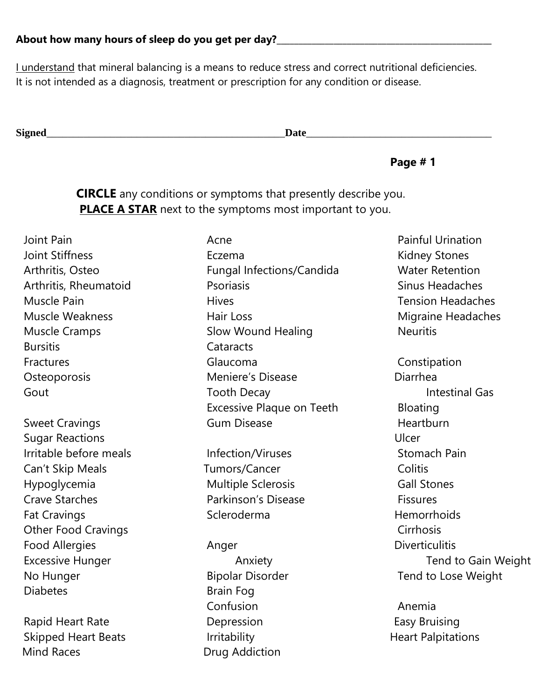I understand that mineral balancing is a means to reduce stress and correct nutritional deficiencies. It is not intended as a diagnosis, treatment or prescription for any condition or disease.

**Signed**  $\Box$  **Signed**  $\Box$  **Signed**  $\Box$  **Signed**  $\Box$  **Signed**  $\Box$  **Signed**  $\Box$  **Signed**  $\Box$  **Signed**  $\Box$  **Signed**  $\Box$  **Signed**  $\Box$  **Signed**  $\Box$  **Signed**  $\Box$  **Signed**  $\Box$  **Signed**  $\Box$  **Signed**  $\Box$  **Signed**  $\Box$ 

 **Page # 1**

**CIRCLE** any conditions or symptoms that presently describe you. **PLACE A STAR** next to the symptoms most important to you.

Joint Pain **Acne** Pain Acne **Painful Urination** Bursitis Cataracts

**Sugar Reactions** Ulcer Irritable before meals The Infection/Viruses The Stomach Pain Can't Skip Meals **Tumors/Cancer** Colitis Hypoglycemia **Multiple Sclerosis** Gall Stones Crave Starches **Parkinson's Disease Parkinson's Disease** Fat Cravings **Scleroderma** Scleroderma **Hemorrhoids** Other Food Cravings Communication Communication Communication Cirrhosis Food Allergies **Anger** Anger **Anger** Diverticulitis No Hunger Tend to Lose Weight Diabetes Brain Fog

Rapid Heart Rate **Depression Easy Bruising** Skipped Heart Beats **Irritability Internal Skipped Heart Palpitations** Mind Races **Drug Addiction** 

Joint Stiffness **Eczema** Eczema Kidney Stones Arthritis, Osteo **Fungal Infections/Candida** Water Retention Arthritis, Rheumatoid **P**soriasis Chartes Arthritis, Rheumatoid Psoriasis Sinus Headaches Muscle Pain **Muscle Pain Hives** Hives **Tension Headaches** Muscle Weakness **Muscle Weakness** Hair Loss **Muscle Weakness** Migraine Headaches Muscle Cramps **Slow Wound Healing** Neuritis Fractures **Constitution** Glaucoma **Constitution** Constipation Osteoporosis Meniere's Disease Disease Diarrhea Gout **Tooth Decay Intestinal Gas** Intestinal Gas Excessive Plaque on Teeth Bloating Sweet Cravings **Sweet Cravings Gum Disease Heartburn** 

Confusion **Anemia** 

Excessive Hunger **Anxiety** Anxiety **Anxiety** Tend to Gain Weight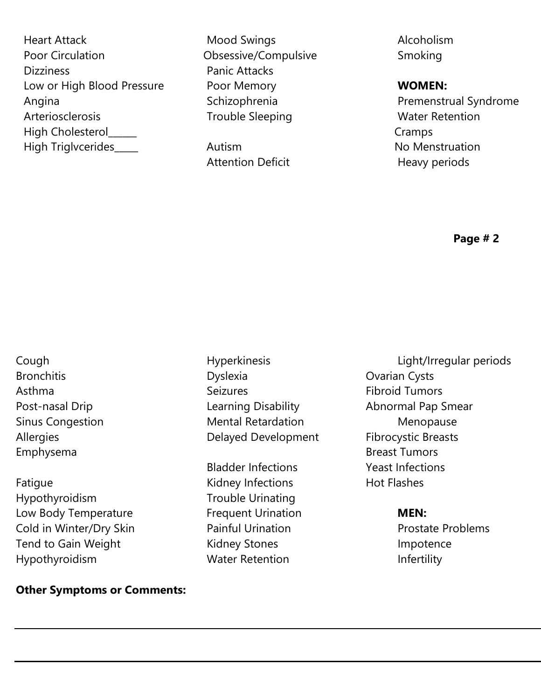Heart Attack **Mood Swings** Alcoholism Poor Circulation **Calculation** Obsessive/Compulsive Smoking Dizziness **Panic Attacks** Low or High Blood Pressure **Poor Memory WOMEN:** Angina **Schizophrenia** Schizophrenia **Premenstrual Syndrome** Arteriosclerosis Trouble Sleeping Mater Retention High Cholesterol\_\_\_\_\_\_ Cramps High Triglvcerides\_\_\_\_\_ Autism example and the Mo Menstruation

Attention Deficit **Heavy periods** 

**Page # 2**

- Emphysema **Breast Tumors Breast Tumors**
- Fatigue **Kidney Infections** Hot Flashes Hypothyroidism Trouble Urinating Low Body Temperature Frequent Urination **MEN:** Cold in Winter/Dry Skin Painful Urination Prostate Problems Tend to Gain Weight **Kidney Stones** Tend to Gain Weight Hypothyroidism Water Retention Infertility

**Other Symptoms or Comments:**

Bronchitis **Bronchitis** Dyslexia **Dyslexia** Dyslexia **Ovarian Cysts** Asthma Seizures Seizures Fibroid Tumors Post-nasal Drip **Learning Disability** Abnormal Pap Smear Sinus Congestion **Mental Retardation** Menopause Allergies **Allergies Delayed Development** Fibrocystic Breasts

Bladder Infections Yeast Infections

Cough Hyperkinesis Light/Irregular periods